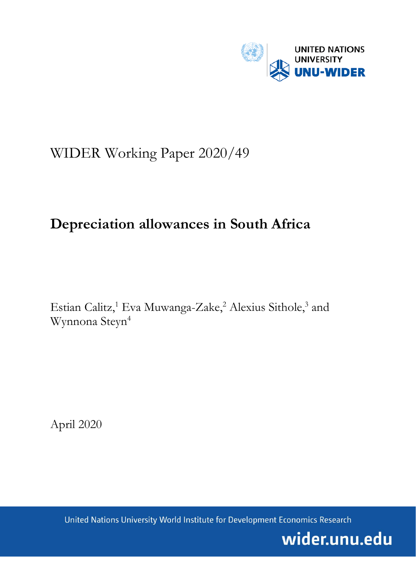

# WIDER Working Paper 2020/49

## **Depreciation allowances in South Africa**

Estian Calitz,<sup>1</sup> Eva Muwanga-Zake,<sup>2</sup> Alexius Sithole,<sup>3</sup> and Wynnona Steyn4

April 2020

United Nations University World Institute for Development Economics Research

wider.unu.edu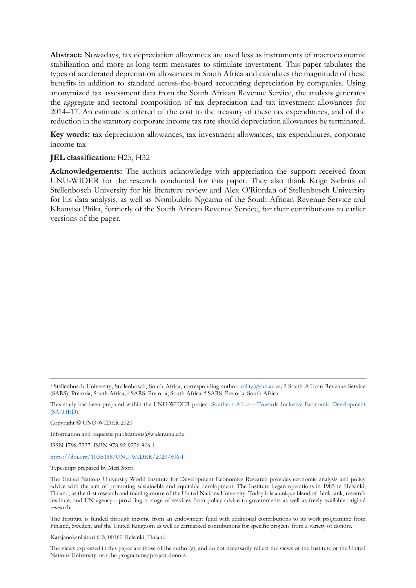**Abstract:** Nowadays, tax depreciation allowances are used less as instruments of macroeconomic stabilization and more as long-term measures to stimulate investment. This paper tabulates the types of accelerated depreciation allowances in South Africa and calculates the magnitude of these benefits in addition to standard across-the-board accounting depreciation by companies. Using anonymized tax assessment data from the South African Revenue Service, the analysis generates the aggregate and sectoral composition of tax depreciation and tax investment allowances for 2014–17. An estimate is offered of the cost to the treasury of these tax expenditures, and of the reduction in the statutory corporate income tax rate should depreciation allowances be terminated.

**Key words:** tax depreciation allowances, tax investment allowances, tax expenditures, corporate income tax

#### **JEL classification:** H25, H32

**Acknowledgements:** The authors acknowledge with appreciation the support received from UNU-WIDER for the research conducted for this paper. They also thank Krige Siebrits of Stellenbosch University for his literature review and Alex O'Riordan of Stellenbosch University for his data analysis, as well as Nombulelo Ngcamu of the South African Revenue Service and Khanyisa Phika, formerly of the South African Revenue Service, for their contributions to earlier versions of the paper.

Copyright © UNU-WIDER 2020

Information and requests: publications@wider.unu.edu

ISSN 1798-7237 ISBN 978-92-9256-806-1

<https://doi.org/10.35188/UNU-WIDER/2020/806-1>

Typescript prepared by Merl Storr.

The Institute is funded through income from an endowment fund with additional contributions to its work programme from Finland, Sweden, and the United Kingdom as well as earmarked contributions for specific projects from a variety of donors.

Katajanokanlaituri 6 B, 00160 Helsinki, Finland

The views expressed in this paper are those of the author(s), and do not necessarily reflect the views of the Institute or the United Nations University, nor the programme/project donors.

<sup>1</sup> Stellenbosch University, Stellenbosch, South Africa, corresponding author: [calitz@sun.ac.za;](mailto:calitz@sun.ac.za) <sup>2</sup> South African Revenue Service (SARS), Pretoria, South Africa; <sup>3</sup> SARS, Pretoria, South Africa; <sup>4</sup> SARS, Pretoria, South Africa

This study has been prepared within the UNU-WIDER project [Southern Africa—Towards Inclusive Economic Development](https://www.wider.unu.edu/node/151233) [\(SA-TIED\).](https://www.wider.unu.edu/node/151233)

The United Nations University World Institute for Development Economics Research provides economic analysis and policy advice with the aim of promoting sustainable and equitable development. The Institute began operations in 1985 in Helsinki, Finland, as the first research and training centre of the United Nations University. Today it is a unique blend of think tank, research institute, and UN agency—providing a range of services from policy advice to governments as well as freely available original research.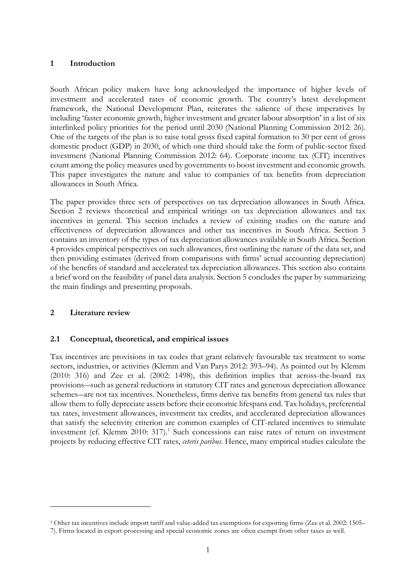#### **1 Introduction**

South African policy makers have long acknowledged the importance of higher levels of investment and accelerated rates of economic growth. The country's latest development framework, the National Development Plan, reiterates the salience of these imperatives by including 'faster economic growth, higher investment and greater labour absorption' in a list of six interlinked policy priorities for the period until 2030 (National Planning Commission 2012: 26). One of the targets of the plan is to raise total gross fixed capital formation to 30 per cent of gross domestic product (GDP) in 2030, of which one third should take the form of public-sector fixed investment (National Planning Commission 2012: 64). Corporate income tax (CIT) incentives count among the policy measures used by governments to boost investment and economic growth. This paper investigates the nature and value to companies of tax benefits from depreciation allowances in South Africa.

The paper provides three sets of perspectives on tax depreciation allowances in South Africa. Section 2 reviews theoretical and empirical writings on tax depreciation allowances and tax incentives in general. This section includes a review of existing studies on the nature and effectiveness of depreciation allowances and other tax incentives in South Africa. Section 3 contains an inventory of the types of tax depreciation allowances available in South Africa. Section 4 provides empirical perspectives on such allowances, first outlining the nature of the data set, and then providing estimates (derived from comparisons with firms' actual accounting depreciation) of the benefits of standard and accelerated tax depreciation allowances. This section also contains a brief word on the feasibility of panel data analysis. Section 5 concludes the paper by summarizing the main findings and presenting proposals.

#### **2 Literature review**

#### **2.1 Conceptual, theoretical, and empirical issues**

Tax incentives are provisions in tax codes that grant relatively favourable tax treatment to some sectors, industries, or activities (Klemm and Van Parys 2012: 393–94). As pointed out by Klemm (2010: 316) and Zee et al. (2002: 1498), this definition implies that across-the-board tax provisions―such as general reductions in statutory CIT rates and generous depreciation allowance schemes―are not tax incentives. Nonetheless, firms derive tax benefits from general tax rules that allow them to fully depreciate assets before their economic lifespans end. Tax holidays, preferential tax rates, investment allowances, investment tax credits, and accelerated depreciation allowances that satisfy the selectivity criterion are common examples of CIT-related incentives to stimulate investment (cf. Klemm 20[1](#page-2-0)0: 317).<sup>1</sup> Such concessions can raise rates of return on investment projects by reducing effective CIT rates, *ceteris paribus*. Hence, many empirical studies calculate the

<span id="page-2-0"></span><sup>1</sup> Other tax incentives include import tariff and value-added tax exemptions for exporting firms (Zee et al. 2002: 1505– 7). Firms located in export-processing and special economic zones are often exempt from other taxes as well.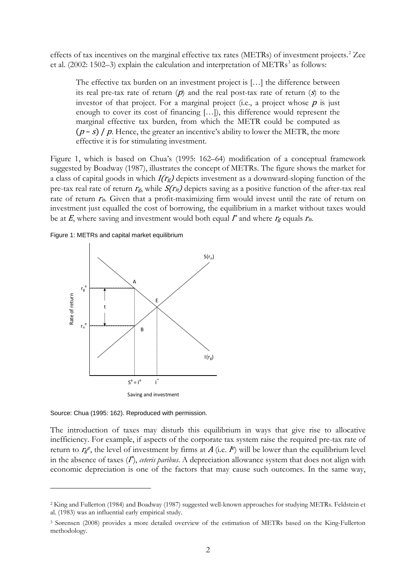effects of tax incentives on the marginal effective tax rates (METRs) of investment projects.<sup>[2](#page-3-0)</sup> Zee et al. (2002: 1502-[3](#page-3-1)) explain the calculation and interpretation of METRs<sup>3</sup> as follows:

The effective tax burden on an investment project is […] the difference between its real pre-tax rate of return  $(p)$  and the real post-tax rate of return  $(s)$  to the investor of that project. For a marginal project (i.e., a project whose  $p$  is just enough to cover its cost of financing […]), this difference would represent the marginal effective tax burden, from which the METR could be computed as  $(p - s) / p$ . Hence, the greater an incentive's ability to lower the METR, the more effective it is for stimulating investment.

Figure 1, which is based on Chua's (1995: 162–64) modification of a conceptual framework suggested by Boadway (1987), illustrates the concept of METRs. The figure shows the market for a class of capital goods in which  $I(r_g)$  depicts investment as a downward-sloping function of the pre-tax real rate of return  $r_g$ , while  $S(r_n)$  depicts saving as a positive function of the after-tax real rate of return  $r_n$ . Given that a profit-maximizing firm would invest until the rate of return on investment just equalled the cost of borrowing, the equilibrium in a market without taxes would be at  $E$ , where saving and investment would both equal  $\Gamma^*$  and where  $\Gamma_g$  equals  $\Gamma_n$ .

Figure 1: METRs and capital market equilibrium



Source: Chua (1995: 162). Reproduced with permission.

The introduction of taxes may disturb this equilibrium in ways that give rise to allocative inefficiency. For example, if aspects of the corporate tax system raise the required pre-tax rate of return to  $r_g$ <sup>e</sup>, the level of investment by firms at A (i.e.  $I^e$ ) will be lower than the equilibrium level in the absence of taxes (I<sup>\*</sup>), *ceteris paribus*. A depreciation allowance system that does not align with economic depreciation is one of the factors that may cause such outcomes. In the same way,

<span id="page-3-0"></span><sup>2</sup> King and Fullerton (1984) and Boadway (1987) suggested well-known approaches for studying METRs. Feldstein et al. (1983) was an influential early empirical study.

<span id="page-3-1"></span><sup>3</sup> Sørensen (2008) provides a more detailed overview of the estimation of METRs based on the King-Fullerton methodology.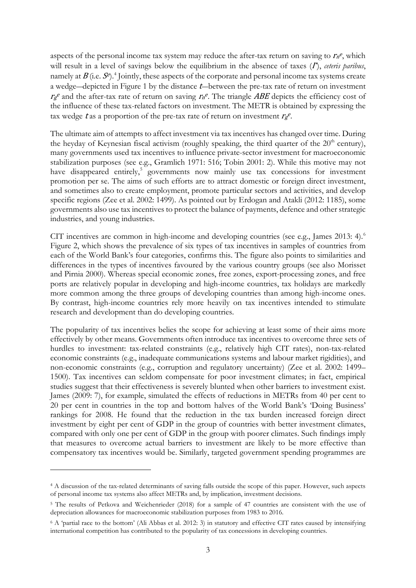aspects of the personal income tax system may reduce the after-tax return on saving to  $r_n$ <sup>e</sup>, which will result in a level of savings below the equilibrium in the absence of taxes  $(I^*)$ , *ceteris paribus*, namely at  $B$  (i.e.  $S^e$ ).<sup>4</sup> Jointly, these aspects of the corporate and personal income tax systems create a wedge-depicted in Figure 1 by the distance t-between the pre-tax rate of return on investment  $r_{g}e$  and the after-tax rate of return on saving  $r_{n}e$ . The triangle ABE depicts the efficiency cost of the influence of these tax-related factors on investment. The METR is obtained by expressing the tax wedge t as a proportion of the pre-tax rate of return on investment  $r_ge$ .

The ultimate aim of attempts to affect investment via tax incentives has changed over time. During the heyday of Keynesian fiscal activism (roughly speaking, the third quarter of the  $20<sup>th</sup>$  century), many governments used tax incentives to influence private-sector investment for macroeconomic stabilization purposes (see e.g., Gramlich 1971: 516; Tobin 2001: 2). While this motive may not have disappeared entirely,<sup>[5](#page-4-1)</sup> governments now mainly use tax concessions for investment promotion per se. The aims of such efforts are to attract domestic or foreign direct investment, and sometimes also to create employment, promote particular sectors and activities, and develop specific regions (Zee et al. 2002: 1499). As pointed out by Erdogan and Atakli (2012: 1185), some governments also use tax incentives to protect the balance of payments, defence and other strategic industries, and young industries.

CIT incentives are common in high-income and developing countries (see e.g., James 2013: 4).<sup>[6](#page-4-2)</sup> Figure 2, which shows the prevalence of six types of tax incentives in samples of countries from each of the World Bank's four categories, confirms this. The figure also points to similarities and differences in the types of incentives favoured by the various country groups (see also Morisset and Pirnia 2000). Whereas special economic zones, free zones, export-processing zones, and free ports are relatively popular in developing and high-income countries, tax holidays are markedly more common among the three groups of developing countries than among high-income ones. By contrast, high-income countries rely more heavily on tax incentives intended to stimulate research and development than do developing countries.

The popularity of tax incentives belies the scope for achieving at least some of their aims more effectively by other means. Governments often introduce tax incentives to overcome three sets of hurdles to investment: tax-related constraints (e.g., relatively high CIT rates), non-tax-related economic constraints (e.g., inadequate communications systems and labour market rigidities), and non-economic constraints (e.g., corruption and regulatory uncertainty) (Zee et al. 2002: 1499– 1500). Tax incentives can seldom compensate for poor investment climates; in fact, empirical studies suggest that their effectiveness is severely blunted when other barriers to investment exist. James (2009: 7), for example, simulated the effects of reductions in METRs from 40 per cent to 20 per cent in countries in the top and bottom halves of the World Bank's 'Doing Business' rankings for 2008. He found that the reduction in the tax burden increased foreign direct investment by eight per cent of GDP in the group of countries with better investment climates, compared with only one per cent of GDP in the group with poorer climates. Such findings imply that measures to overcome actual barriers to investment are likely to be more effective than compensatory tax incentives would be. Similarly, targeted government spending programmes are

<span id="page-4-0"></span><sup>4</sup> A discussion of the tax-related determinants of saving falls outside the scope of this paper. However, such aspects of personal income tax systems also affect METRs and, by implication, investment decisions.

<span id="page-4-1"></span><sup>5</sup> The results of Petkova and Weichenrieder (2018) for a sample of 47 countries are consistent with the use of depreciation allowances for macroeconomic stabilization purposes from 1983 to 2016.

<span id="page-4-2"></span><sup>6</sup> A 'partial race to the bottom' (Ali Abbas et al. 2012: 3) in statutory and effective CIT rates caused by intensifying international competition has contributed to the popularity of tax concessions in developing countries.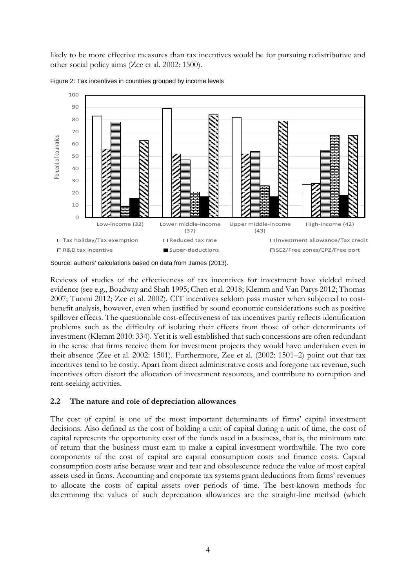likely to be more effective measures than tax incentives would be for pursuing redistributive and other social policy aims (Zee et al. 2002: 1500).



Figure 2: Tax incentives in countries grouped by income levels

Source: authors' calculations based on data from James (2013).

Reviews of studies of the effectiveness of tax incentives for investment have yielded mixed evidence (see e.g., Boadway and Shah 1995; Chen et al. 2018; Klemm and Van Parys 2012; Thomas 2007; Tuomi 2012; Zee et al. 2002). CIT incentives seldom pass muster when subjected to costbenefit analysis, however, even when justified by sound economic considerations such as positive spillover effects. The questionable cost-effectiveness of tax incentives partly reflects identification problems such as the difficulty of isolating their effects from those of other determinants of investment (Klemm 2010: 334). Yet it is well established that such concessions are often redundant in the sense that firms receive them for investment projects they would have undertaken even in their absence (Zee et al. 2002: 1501). Furthermore, Zee et al. (2002: 1501–2) point out that tax incentives tend to be costly. Apart from direct administrative costs and foregone tax revenue, such incentives often distort the allocation of investment resources, and contribute to corruption and rent-seeking activities.

#### **2.2 The nature and role of depreciation allowances**

The cost of capital is one of the most important determinants of firms' capital investment decisions. Also defined as the cost of holding a unit of capital during a unit of time, the cost of capital represents the opportunity cost of the funds used in a business, that is, the minimum rate of return that the business must earn to make a capital investment worthwhile. The two core components of the cost of capital are capital consumption costs and finance costs. Capital consumption costs arise because wear and tear and obsolescence reduce the value of most capital assets used in firms. Accounting and corporate tax systems grant deductions from firms' revenues to allocate the costs of capital assets over periods of time. The best-known methods for determining the values of such depreciation allowances are the straight-line method (which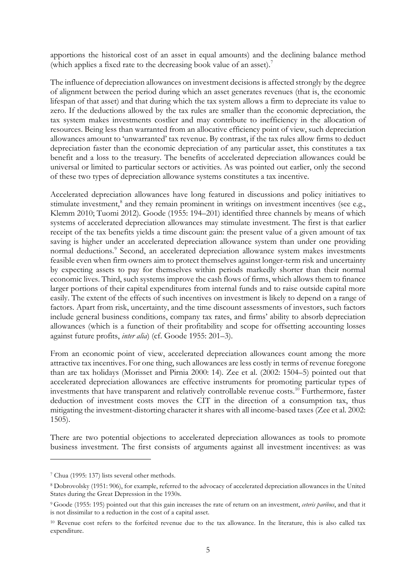apportions the historical cost of an asset in equal amounts) and the declining balance method (which applies a fixed rate to the decreasing book value of an asset)[.7](#page-6-0)

The influence of depreciation allowances on investment decisions is affected strongly by the degree of alignment between the period during which an asset generates revenues (that is, the economic lifespan of that asset) and that during which the tax system allows a firm to depreciate its value to zero. If the deductions allowed by the tax rules are smaller than the economic depreciation, the tax system makes investments costlier and may contribute to inefficiency in the allocation of resources. Being less than warranted from an allocative efficiency point of view, such depreciation allowances amount to 'unwarranted' tax revenue. By contrast, if the tax rules allow firms to deduct depreciation faster than the economic depreciation of any particular asset, this constitutes a tax benefit and a loss to the treasury. The benefits of accelerated depreciation allowances could be universal or limited to particular sectors or activities. As was pointed out earlier, only the second of these two types of depreciation allowance systems constitutes a tax incentive.

Accelerated depreciation allowances have long featured in discussions and policy initiatives to stimulate investment,<sup>[8](#page-6-1)</sup> and they remain prominent in writings on investment incentives (see e.g., Klemm 2010; Tuomi 2012). Goode (1955: 194–201) identified three channels by means of which systems of accelerated depreciation allowances may stimulate investment. The first is that earlier receipt of the tax benefits yields a time discount gain: the present value of a given amount of tax saving is higher under an accelerated depreciation allowance system than under one providing normal deductions.<sup>[9](#page-6-2)</sup> Second, an accelerated depreciation allowance system makes investments feasible even when firm owners aim to protect themselves against longer-term risk and uncertainty by expecting assets to pay for themselves within periods markedly shorter than their normal economic lives. Third, such systems improve the cash flows of firms, which allows them to finance larger portions of their capital expenditures from internal funds and to raise outside capital more easily. The extent of the effects of such incentives on investment is likely to depend on a range of factors. Apart from risk, uncertainty, and the time discount assessments of investors, such factors include general business conditions, company tax rates, and firms' ability to absorb depreciation allowances (which is a function of their profitability and scope for offsetting accounting losses against future profits, *inter alia*) (cf. Goode 1955: 201–3).

From an economic point of view, accelerated depreciation allowances count among the more attractive tax incentives. For one thing, such allowances are less costly in terms of revenue foregone than are tax holidays (Morisset and Pirnia 2000: 14). Zee et al. (2002: 1504–5) pointed out that accelerated depreciation allowances are effective instruments for promoting particular types of investments that have transparent and relatively controllable revenue costs.[10](#page-6-3) Furthermore, faster deduction of investment costs moves the CIT in the direction of a consumption tax, thus mitigating the investment-distorting character it shares with all income-based taxes (Zee et al. 2002: 1505).

There are two potential objections to accelerated depreciation allowances as tools to promote business investment. The first consists of arguments against all investment incentives: as was

<span id="page-6-0"></span><sup>7</sup> Chua (1995: 137) lists several other methods.

<span id="page-6-1"></span><sup>8</sup> Dobrovolsky (1951: 906), for example, referred to the advocacy of accelerated depreciation allowances in the United States during the Great Depression in the 1930s.

<span id="page-6-2"></span><sup>9</sup> Goode (1955: 195) pointed out that this gain increases the rate of return on an investment, *ceteris paribus*, and that it is not dissimilar to a reduction in the cost of a capital asset.

<span id="page-6-3"></span><sup>10</sup> Revenue cost refers to the forfeited revenue due to the tax allowance. In the literature, this is also called tax expenditure.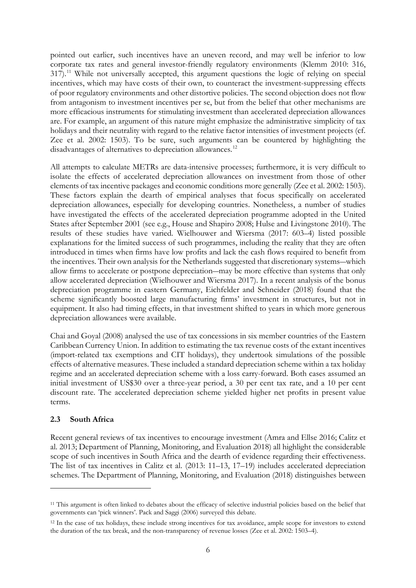pointed out earlier, such incentives have an uneven record, and may well be inferior to low corporate tax rates and general investor-friendly regulatory environments (Klemm 2010: 316, 317).[11](#page-7-0) While not universally accepted, this argument questions the logic of relying on special incentives, which may have costs of their own, to counteract the investment-suppressing effects of poor regulatory environments and other distortive policies. The second objection does not flow from antagonism to investment incentives per se, but from the belief that other mechanisms are more efficacious instruments for stimulating investment than accelerated depreciation allowances are. For example, an argument of this nature might emphasize the administrative simplicity of tax holidays and their neutrality with regard to the relative factor intensities of investment projects (cf. Zee et al. 2002: 1503). To be sure, such arguments can be countered by highlighting the disadvantages of alternatives to depreciation allowances.<sup>[12](#page-7-1)</sup>

All attempts to calculate METRs are data-intensive processes; furthermore, it is very difficult to isolate the effects of accelerated depreciation allowances on investment from those of other elements of tax incentive packages and economic conditions more generally (Zee et al. 2002: 1503). These factors explain the dearth of empirical analyses that focus specifically on accelerated depreciation allowances, especially for developing countries. Nonetheless, a number of studies have investigated the effects of the accelerated depreciation programme adopted in the United States after September 2001 (see e.g., House and Shapiro 2008; Hulse and Livingstone 2010). The results of these studies have varied. Wielhouwer and Wiersma (2017: 603–4) listed possible explanations for the limited success of such programmes, including the reality that they are often introduced in times when firms have low profits and lack the cash flows required to benefit from the incentives. Their own analysis for the Netherlands suggested that discretionary systems―which allow firms to accelerate or postpone depreciation―may be more effective than systems that only allow accelerated depreciation (Wielhouwer and Wiersma 2017). In a recent analysis of the bonus depreciation programme in eastern Germany, Eichfelder and Schneider (2018) found that the scheme significantly boosted large manufacturing firms' investment in structures, but not in equipment. It also had timing effects, in that investment shifted to years in which more generous depreciation allowances were available.

Chai and Goyal (2008) analysed the use of tax concessions in six member countries of the Eastern Caribbean Currency Union. In addition to estimating the tax revenue costs of the extant incentives (import-related tax exemptions and CIT holidays), they undertook simulations of the possible effects of alternative measures. These included a standard depreciation scheme within a tax holiday regime and an accelerated depreciation scheme with a loss carry-forward. Both cases assumed an initial investment of US\$30 over a three-year period, a 30 per cent tax rate, and a 10 per cent discount rate. The accelerated depreciation scheme yielded higher net profits in present value terms.

#### **2.3 South Africa**

Recent general reviews of tax incentives to encourage investment (Amra and Ellse 2016; Calitz et al. 2013; Department of Planning, Monitoring, and Evaluation 2018) all highlight the considerable scope of such incentives in South Africa and the dearth of evidence regarding their effectiveness. The list of tax incentives in Calitz et al. (2013: 11–13, 17–19) includes accelerated depreciation schemes. The Department of Planning, Monitoring, and Evaluation (2018) distinguishes between

<span id="page-7-0"></span><sup>11</sup> This argument is often linked to debates about the efficacy of selective industrial policies based on the belief that governments can 'pick winners'. Pack and Saggi (2006) surveyed this debate.

<span id="page-7-1"></span><sup>&</sup>lt;sup>12</sup> In the case of tax holidays, these include strong incentives for tax avoidance, ample scope for investors to extend the duration of the tax break, and the non-transparency of revenue losses (Zee et al. 2002: 1503–4).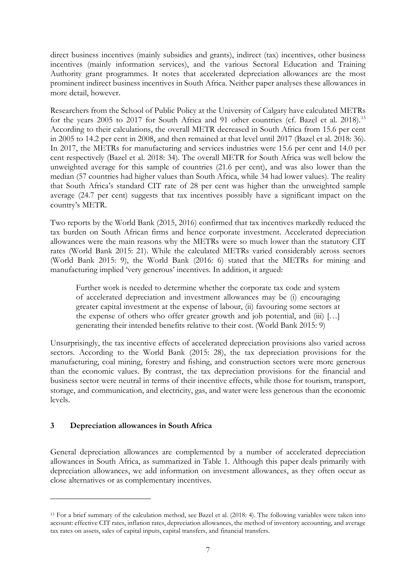direct business incentives (mainly subsidies and grants), indirect (tax) incentives, other business incentives (mainly information services), and the various Sectoral Education and Training Authority grant programmes. It notes that accelerated depreciation allowances are the most prominent indirect business incentives in South Africa. Neither paper analyses these allowances in more detail, however.

Researchers from the School of Public Policy at the University of Calgary have calculated METRs for the years 2005 to 2017 for South Africa and 91 other countries (cf. Bazel et al. 2018).<sup>[13](#page-8-0)</sup> According to their calculations, the overall METR decreased in South Africa from 15.6 per cent in 2005 to 14.2 per cent in 2008, and then remained at that level until 2017 (Bazel et al. 2018: 36). In 2017, the METRs for manufacturing and services industries were 15.6 per cent and 14.0 per cent respectively (Bazel et al. 2018: 34). The overall METR for South Africa was well below the unweighted average for this sample of countries (21.6 per cent), and was also lower than the median (57 countries had higher values than South Africa, while 34 had lower values). The reality that South Africa's standard CIT rate of 28 per cent was higher than the unweighted sample average (24.7 per cent) suggests that tax incentives possibly have a significant impact on the country's METR.

Two reports by the World Bank (2015, 2016) confirmed that tax incentives markedly reduced the tax burden on South African firms and hence corporate investment. Accelerated depreciation allowances were the main reasons why the METRs were so much lower than the statutory CIT rates (World Bank 2015: 21). While the calculated METRs varied considerably across sectors (World Bank 2015: 9), the World Bank (2016: 6) stated that the METRs for mining and manufacturing implied 'very generous' incentives. In addition, it argued:

Further work is needed to determine whether the corporate tax code and system of accelerated depreciation and investment allowances may be (i) encouraging greater capital investment at the expense of labour, (ii) favouring some sectors at the expense of others who offer greater growth and job potential, and  $(iii)$  [...] generating their intended benefits relative to their cost. (World Bank 2015: 9)

Unsurprisingly, the tax incentive effects of accelerated depreciation provisions also varied across sectors. According to the World Bank (2015: 28), the tax depreciation provisions for the manufacturing, coal mining, forestry and fishing, and construction sectors were more generous than the economic values. By contrast, the tax depreciation provisions for the financial and business sector were neutral in terms of their incentive effects, while those for tourism, transport, storage, and communication, and electricity, gas, and water were less generous than the economic levels.

#### **3 Depreciation allowances in South Africa**

General depreciation allowances are complemented by a number of accelerated depreciation allowances in South Africa, as summarized in Table 1. Although this paper deals primarily with depreciation allowances, we add information on investment allowances, as they often occur as close alternatives or as complementary incentives.

<span id="page-8-0"></span><sup>13</sup> For a brief summary of the calculation method, see Bazel et al. (2018: 4). The following variables were taken into account: effective CIT rates, inflation rates, depreciation allowances, the method of inventory accounting, and average tax rates on assets, sales of capital inputs, capital transfers, and financial transfers.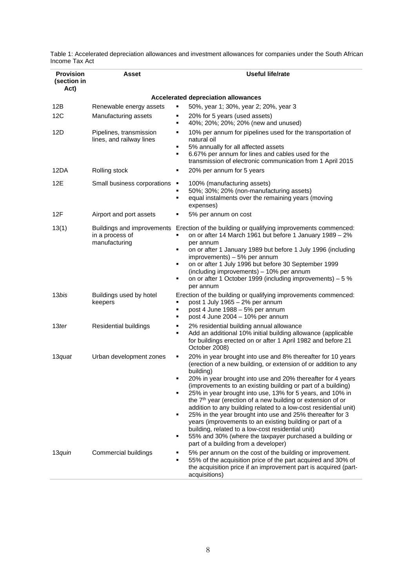Table 1: Accelerated depreciation allowances and investment allowances for companies under the South African Income Tax Act

| <b>Provision</b><br>(section in<br>Act) | Asset                                                          | Useful life/rate                                                                                                                                                                                                                                                                                                                                                                                                                                                                                                                                                                                                                                                                                                                                                                            |  |  |  |  |  |  |  |
|-----------------------------------------|----------------------------------------------------------------|---------------------------------------------------------------------------------------------------------------------------------------------------------------------------------------------------------------------------------------------------------------------------------------------------------------------------------------------------------------------------------------------------------------------------------------------------------------------------------------------------------------------------------------------------------------------------------------------------------------------------------------------------------------------------------------------------------------------------------------------------------------------------------------------|--|--|--|--|--|--|--|
|                                         | Accelerated depreciation allowances                            |                                                                                                                                                                                                                                                                                                                                                                                                                                                                                                                                                                                                                                                                                                                                                                                             |  |  |  |  |  |  |  |
| 12B                                     | Renewable energy assets                                        | 50%, year 1; 30%, year 2; 20%, year 3<br>٠                                                                                                                                                                                                                                                                                                                                                                                                                                                                                                                                                                                                                                                                                                                                                  |  |  |  |  |  |  |  |
| 12C                                     | Manufacturing assets                                           | 20% for 5 years (used assets)<br>٠<br>40%; 20%; 20%; 20% (new and unused)<br>٠                                                                                                                                                                                                                                                                                                                                                                                                                                                                                                                                                                                                                                                                                                              |  |  |  |  |  |  |  |
| 12D                                     | Pipelines, transmission<br>lines, and railway lines            | 10% per annum for pipelines used for the transportation of<br>٠<br>natural oil<br>5% annually for all affected assets<br>٠<br>6.67% per annum for lines and cables used for the<br>$\blacksquare$<br>transmission of electronic communication from 1 April 2015                                                                                                                                                                                                                                                                                                                                                                                                                                                                                                                             |  |  |  |  |  |  |  |
| 12DA                                    | Rolling stock                                                  | 20% per annum for 5 years<br>٠                                                                                                                                                                                                                                                                                                                                                                                                                                                                                                                                                                                                                                                                                                                                                              |  |  |  |  |  |  |  |
| 12E                                     | Small business corporations                                    | 100% (manufacturing assets)<br>л<br>50%; 30%; 20% (non-manufacturing assets)<br>٠<br>equal instalments over the remaining years (moving<br>٠<br>expenses)                                                                                                                                                                                                                                                                                                                                                                                                                                                                                                                                                                                                                                   |  |  |  |  |  |  |  |
| 12F                                     | Airport and port assets                                        | 5% per annum on cost<br>٠                                                                                                                                                                                                                                                                                                                                                                                                                                                                                                                                                                                                                                                                                                                                                                   |  |  |  |  |  |  |  |
| 13(1)                                   | Buildings and improvements<br>in a process of<br>manufacturing | Erection of the building or qualifying improvements commenced:<br>on or after 14 March 1961 but before 1 January 1989 - 2%<br>٠<br>per annum<br>on or after 1 January 1989 but before 1 July 1996 (including<br>٠<br>improvements) - 5% per annum<br>on or after 1 July 1996 but before 30 September 1999<br>٠<br>(including improvements) - 10% per annum<br>on or after 1 October 1999 (including improvements) – 5 %<br>٠<br>per annum                                                                                                                                                                                                                                                                                                                                                   |  |  |  |  |  |  |  |
| 13bis                                   | Buildings used by hotel<br>keepers                             | Erection of the building or qualifying improvements commenced:<br>post 1 July 1965 - 2% per annum<br>٠<br>post 4 June 1988 - 5% per annum<br>٠<br>post 4 June 2004 - 10% per annum<br>٠                                                                                                                                                                                                                                                                                                                                                                                                                                                                                                                                                                                                     |  |  |  |  |  |  |  |
| 13ter                                   | Residential buildings                                          | 2% residential building annual allowance<br>٠<br>Add an additional 10% initial building allowance (applicable<br>٠<br>for buildings erected on or after 1 April 1982 and before 21<br>October 2008)                                                                                                                                                                                                                                                                                                                                                                                                                                                                                                                                                                                         |  |  |  |  |  |  |  |
| 13quat                                  | Urban development zones                                        | 20% in year brought into use and 8% thereafter for 10 years<br>٠<br>(erection of a new building, or extension of or addition to any<br>building)<br>20% in year brought into use and 20% thereafter for 4 years<br>(improvements to an existing building or part of a building)<br>25% in year brought into use, 13% for 5 years, and 10% in<br>٠<br>the 7 <sup>th</sup> year (erection of a new building or extension of or<br>addition to any building related to a low-cost residential unit)<br>25% in the year brought into use and 25% thereafter for 3<br>٠<br>years (improvements to an existing building or part of a<br>building, related to a low-cost residential unit)<br>55% and 30% (where the taxpayer purchased a building or<br>٠<br>part of a building from a developer) |  |  |  |  |  |  |  |
| 13quin                                  | Commercial buildings                                           | 5% per annum on the cost of the building or improvement.<br>55% of the acquisition price of the part acquired and 30% of<br>the acquisition price if an improvement part is acquired (part-<br>acquisitions)                                                                                                                                                                                                                                                                                                                                                                                                                                                                                                                                                                                |  |  |  |  |  |  |  |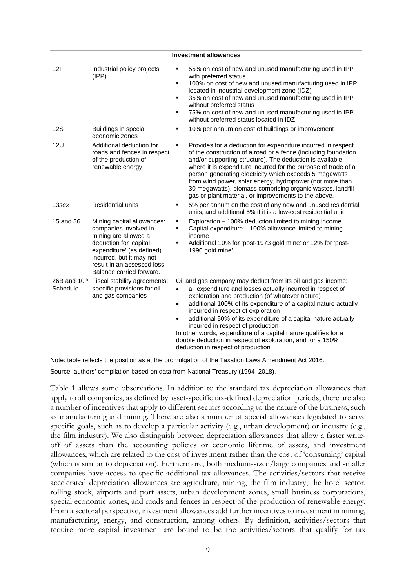| <b>INVESUMENT ANOWANCES</b> |                                                                                                                                                                                                                           |                                                                                                                                                                                                                                                                                                                                                                                                                                                                                                                                                                                                            |  |  |  |  |  |  |
|-----------------------------|---------------------------------------------------------------------------------------------------------------------------------------------------------------------------------------------------------------------------|------------------------------------------------------------------------------------------------------------------------------------------------------------------------------------------------------------------------------------------------------------------------------------------------------------------------------------------------------------------------------------------------------------------------------------------------------------------------------------------------------------------------------------------------------------------------------------------------------------|--|--|--|--|--|--|
| 121                         | Industrial policy projects<br>(IPP)                                                                                                                                                                                       | ٠<br>55% on cost of new and unused manufacturing used in IPP<br>with preferred status<br>100% on cost of new and unused manufacturing used in IPP<br>٠<br>located in industrial development zone (IDZ)<br>35% on cost of new and unused manufacturing used in IPP<br>٠<br>without preferred status<br>75% on cost of new and unused manufacturing used in IPP<br>٠<br>without preferred status located in IDZ                                                                                                                                                                                              |  |  |  |  |  |  |
| 12S                         | Buildings in special<br>economic zones                                                                                                                                                                                    | 10% per annum on cost of buildings or improvement<br>٠                                                                                                                                                                                                                                                                                                                                                                                                                                                                                                                                                     |  |  |  |  |  |  |
| 12U                         | Additional deduction for<br>roads and fences in respect<br>of the production of<br>renewable energy                                                                                                                       | Provides for a deduction for expenditure incurred in respect<br>٠<br>of the construction of a road or a fence (including foundation<br>and/or supporting structure). The deduction is available<br>where it is expenditure incurred for the purpose of trade of a<br>person generating electricity which exceeds 5 megawatts<br>from wind power, solar energy, hydropower (not more than<br>30 megawatts), biomass comprising organic wastes, landfill<br>gas or plant material, or improvements to the above.                                                                                             |  |  |  |  |  |  |
| 13sex                       | <b>Residential units</b>                                                                                                                                                                                                  | 5% per annum on the cost of any new and unused residential<br>٠<br>units, and additional 5% if it is a low-cost residential unit                                                                                                                                                                                                                                                                                                                                                                                                                                                                           |  |  |  |  |  |  |
| 15 and 36                   | Mining capital allowances:<br>companies involved in<br>mining are allowed a<br>deduction for 'capital<br>expenditure' (as defined)<br>incurred, but it may not<br>result in an assessed loss.<br>Balance carried forward. | Exploration - 100% deduction limited to mining income<br>٠<br>Capital expenditure - 100% allowance limited to mining<br>٠<br>income<br>Additional 10% for 'post-1973 gold mine' or 12% for 'post-<br>٠<br>1990 gold mine'                                                                                                                                                                                                                                                                                                                                                                                  |  |  |  |  |  |  |
| 26B and $10th$<br>Schedule  | Fiscal stability agreements:<br>specific provisions for oil<br>and gas companies                                                                                                                                          | Oil and gas company may deduct from its oil and gas income:<br>all expenditure and losses actually incurred in respect of<br>$\bullet$<br>exploration and production (of whatever nature)<br>additional 100% of its expenditure of a capital nature actually<br>$\bullet$<br>incurred in respect of exploration<br>additional 50% of its expenditure of a capital nature actually<br>$\bullet$<br>incurred in respect of production<br>In other words, expenditure of a capital nature qualifies for a<br>double deduction in respect of exploration, and for a 150%<br>deduction in respect of production |  |  |  |  |  |  |

**Investment allowances**

Note: table reflects the position as at the promulgation of the Taxation Laws Amendment Act 2016.

Source: authors' compilation based on data from National Treasury (1994–2018).

Table 1 allows some observations. In addition to the standard tax depreciation allowances that apply to all companies, as defined by asset-specific tax-defined depreciation periods, there are also a number of incentives that apply to different sectors according to the nature of the business, such as manufacturing and mining. There are also a number of special allowances legislated to serve specific goals, such as to develop a particular activity (e.g., urban development) or industry (e.g., the film industry). We also distinguish between depreciation allowances that allow a faster writeoff of assets than the accounting policies or economic lifetime of assets, and investment allowances, which are related to the cost of investment rather than the cost of 'consuming' capital (which is similar to depreciation). Furthermore, both medium-sized/large companies and smaller companies have access to specific additional tax allowances. The activities/sectors that receive accelerated depreciation allowances are agriculture, mining, the film industry, the hotel sector, rolling stock, airports and port assets, urban development zones, small business corporations, special economic zones, and roads and fences in respect of the production of renewable energy. From a sectoral perspective, investment allowances add further incentives to investment in mining, manufacturing, energy, and construction, among others. By definition, activities/sectors that require more capital investment are bound to be the activities/sectors that qualify for tax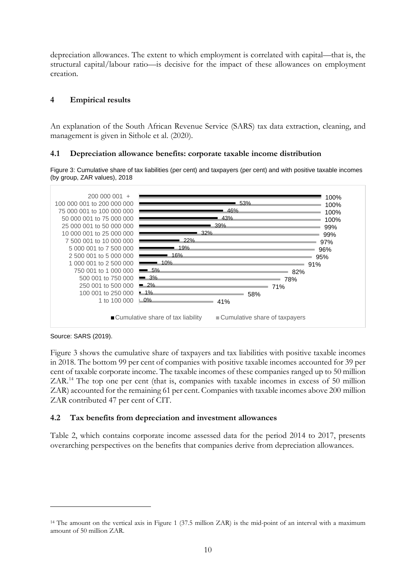depreciation allowances. The extent to which employment is correlated with capital—that is, the structural capital/labour ratio—is decisive for the impact of these allowances on employment creation.

#### **4 Empirical results**

An explanation of the South African Revenue Service (SARS) tax data extraction, cleaning, and management is given in Sithole et al. (2020).

#### **4.1 Depreciation allowance benefits: corporate taxable income distribution**

Figure 3: Cumulative share of tax liabilities (per cent) and taxpayers (per cent) and with positive taxable incomes (by group, ZAR values), 2018



Source: SARS (2019).

Figure 3 shows the cumulative share of taxpayers and tax liabilities with positive taxable incomes in 2018. The bottom 99 per cent of companies with positive taxable incomes accounted for 39 per cent of taxable corporate income. The taxable incomes of these companies ranged up to 50 million ZAR. [14](#page-11-0) The top one per cent (that is, companies with taxable incomes in excess of 50 million ZAR) accounted for the remaining 61 per cent. Companies with taxable incomes above 200 million ZAR contributed 47 per cent of CIT.

#### **4.2 Tax benefits from depreciation and investment allowances**

Table 2, which contains corporate income assessed data for the period 2014 to 2017, presents overarching perspectives on the benefits that companies derive from depreciation allowances.

<span id="page-11-0"></span><sup>14</sup> The amount on the vertical axis in Figure 1 (37.5 million ZAR) is the mid-point of an interval with a maximum amount of 50 million ZAR.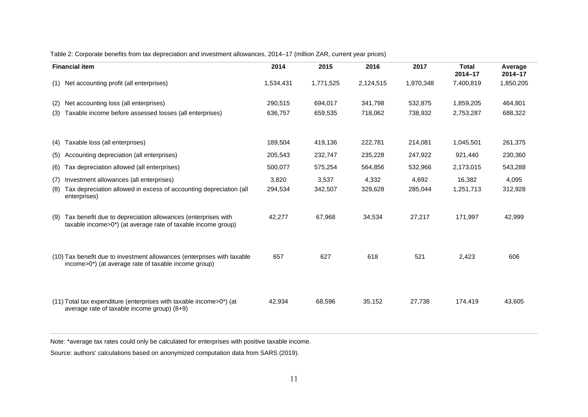| Table 2: Corporate benefits from tax depreciation and investment allowances, 2014–17 (million ZAR, current year prices) |  |  |  |  |
|-------------------------------------------------------------------------------------------------------------------------|--|--|--|--|
|-------------------------------------------------------------------------------------------------------------------------|--|--|--|--|

| <b>Financial item</b>                                                                                                                            | 2014      | 2015      | 2016      | 2017      | <b>Total</b><br>$2014 - 17$ | Average<br>$2014 - 17$ |
|--------------------------------------------------------------------------------------------------------------------------------------------------|-----------|-----------|-----------|-----------|-----------------------------|------------------------|
| Net accounting profit (all enterprises)<br>(1)                                                                                                   | 1,534,431 | 1,771,525 | 2,124,515 | 1,970,348 | 7,400,819                   | 1,850,205              |
| Net accounting loss (all enterprises)<br>(2)                                                                                                     | 290.515   | 694.017   | 341.798   | 532.875   | 1,859,205                   | 464,801                |
| Taxable income before assessed losses (all enterprises)<br>(3)                                                                                   | 636,757   | 659,535   | 718,062   | 738,932   | 2,753,287                   | 688,322                |
|                                                                                                                                                  |           |           |           |           |                             |                        |
| Taxable loss (all enterprises)<br>(4)                                                                                                            | 189,504   | 419,136   | 222,781   | 214,081   | 1,045,501                   | 261,375                |
| Accounting depreciation (all enterprises)<br>(5)                                                                                                 | 205,543   | 232,747   | 235,228   | 247,922   | 921,440                     | 230,360                |
| Tax depreciation allowed (all enterprises)<br>(6)                                                                                                | 500,077   | 575,254   | 564,856   | 532,966   | 2,173,015                   | 543,288                |
| Investment allowances (all enterprises)<br>(7)                                                                                                   | 3,820     | 3,537     | 4,332     | 4,692     | 16,382                      | 4,095                  |
| Tax depreciation allowed in excess of accounting depreciation (all<br>(8)<br>enterprises)                                                        | 294,534   | 342,507   | 329,628   | 285,044   | 1,251,713                   | 312,928                |
| Tax benefit due to depreciation allowances (enterprises with<br>(9)<br>taxable income>0 <sup>*</sup> ) (at average rate of taxable income group) | 42,277    | 67,968    | 34,534    | 27,217    | 171,997                     | 42,999                 |
| (10) Tax benefit due to investment allowances (enterprises with taxable<br>income>0*) (at average rate of taxable income group)                  | 657       | 627       | 618       | 521       | 2,423                       | 606                    |
| (11) Total tax expenditure (enterprises with taxable income>0*) (at<br>average rate of taxable income group) $(8+9)$                             | 42,934    | 68,596    | 35,152    | 27,738    | 174,419                     | 43,605                 |

Note: \*average tax rates could only be calculated for enterprises with positive taxable income.

Source: authors' calculations based on anonymized computation data from SARS (2019).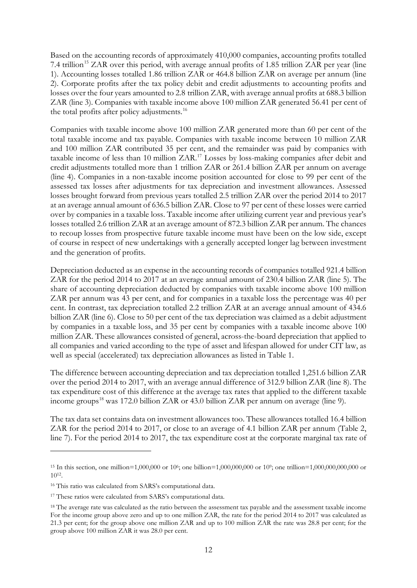Based on the accounting records of approximately 410,000 companies, accounting profits totalled 7.4 trillion<sup>[15](#page-13-0)</sup> ZAR over this period, with average annual profits of 1.85 trillion ZAR per year (line 1). Accounting losses totalled 1.86 trillion ZAR or 464.8 billion ZAR on average per annum (line 2). Corporate profits after the tax policy debit and credit adjustments to accounting profits and losses over the four years amounted to 2.8 trillion ZAR, with average annual profits at 688.3 billion ZAR (line 3). Companies with taxable income above 100 million ZAR generated 56.41 per cent of the total profits after policy adjustments.<sup>[16](#page-13-1)</sup>

Companies with taxable income above 100 million ZAR generated more than 60 per cent of the total taxable income and tax payable. Companies with taxable income between 10 million ZAR and 100 million ZAR contributed 35 per cent, and the remainder was paid by companies with taxable income of less than 10 million ZAR. [17](#page-13-2) Losses by loss-making companies after debit and credit adjustments totalled more than 1 trillion ZAR or 261.4 billion ZAR per annum on average (line 4). Companies in a non-taxable income position accounted for close to 99 per cent of the assessed tax losses after adjustments for tax depreciation and investment allowances. Assessed losses brought forward from previous years totalled 2.5 trillion ZAR over the period 2014 to 2017 at an average annual amount of 636.5 billion ZAR. Close to 97 per cent of these losses were carried over by companies in a taxable loss. Taxable income after utilizing current year and previous year's losses totalled 2.6 trillion ZAR at an average amount of 872.3 billion ZAR per annum. The chances to recoup losses from prospective future taxable income must have been on the low side, except of course in respect of new undertakings with a generally accepted longer lag between investment and the generation of profits.

Depreciation deducted as an expense in the accounting records of companies totalled 921.4 billion ZAR for the period 2014 to 2017 at an average annual amount of 230.4 billion ZAR (line 5). The share of accounting depreciation deducted by companies with taxable income above 100 million ZAR per annum was 43 per cent, and for companies in a taxable loss the percentage was 40 per cent. In contrast, tax depreciation totalled 2.2 trillion ZAR at an average annual amount of 434.6 billion ZAR (line 6). Close to 50 per cent of the tax depreciation was claimed as a debit adjustment by companies in a taxable loss, and 35 per cent by companies with a taxable income above 100 million ZAR. These allowances consisted of general, across-the-board depreciation that applied to all companies and varied according to the type of asset and lifespan allowed for under CIT law, as well as special (accelerated) tax depreciation allowances as listed in Table 1.

The difference between accounting depreciation and tax depreciation totalled 1,251.6 billion ZAR over the period 2014 to 2017, with an average annual difference of 312.9 billion ZAR (line 8). The tax expenditure cost of this difference at the average tax rates that applied to the different taxable income groups<sup>[18](#page-13-3)</sup> was 172.0 billion ZAR or 43.0 billion ZAR per annum on average (line 9).

The tax data set contains data on investment allowances too. These allowances totalled 16.4 billion ZAR for the period 2014 to 2017, or close to an average of 4.1 billion ZAR per annum (Table 2, line 7). For the period 2014 to 2017, the tax expenditure cost at the corporate marginal tax rate of

<span id="page-13-0"></span><sup>&</sup>lt;sup>15</sup> In this section, one million=1,000,000 or 10<sup>6</sup>; one billion=1,000,000,000 or 10<sup>9</sup>; one trillion=1,000,000,000,000 or 1012.

<span id="page-13-1"></span><sup>16</sup> This ratio was calculated from SARS's computational data.

<span id="page-13-2"></span><sup>&</sup>lt;sup>17</sup> These ratios were calculated from SARS's computational data.

<span id="page-13-3"></span><sup>18</sup> The average rate was calculated as the ratio between the assessment tax payable and the assessment taxable income For the income group above zero and up to one million ZAR, the rate for the period 2014 to 2017 was calculated as 21.3 per cent; for the group above one million ZAR and up to 100 million ZAR the rate was 28.8 per cent; for the group above 100 million ZAR it was 28.0 per cent.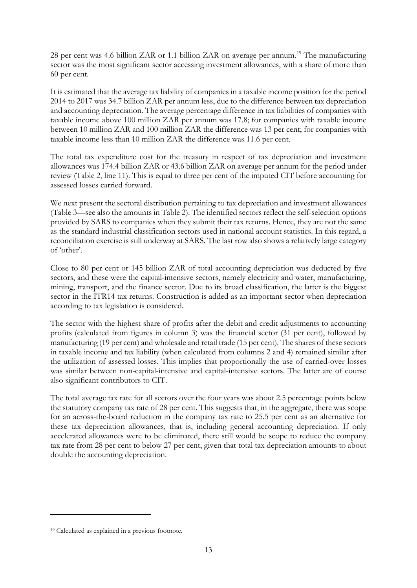28 per cent was 4.6 billion ZAR or 1.1 billion ZAR on average per annum.<sup>[19](#page-14-0)</sup> The manufacturing sector was the most significant sector accessing investment allowances, with a share of more than 60 per cent.

It is estimated that the average tax liability of companies in a taxable income position for the period 2014 to 2017 was 34.7 billion ZAR per annum less, due to the difference between tax depreciation and accounting depreciation. The average percentage difference in tax liabilities of companies with taxable income above 100 million ZAR per annum was 17.8; for companies with taxable income between 10 million ZAR and 100 million ZAR the difference was 13 per cent; for companies with taxable income less than 10 million ZAR the difference was 11.6 per cent.

The total tax expenditure cost for the treasury in respect of tax depreciation and investment allowances was 174.4 billion ZAR or 43.6 billion ZAR on average per annum for the period under review (Table 2, line 11). This is equal to three per cent of the imputed CIT before accounting for assessed losses carried forward.

We next present the sectoral distribution pertaining to tax depreciation and investment allowances (Table 3—see also the amounts in Table 2). The identified sectors reflect the self-selection options provided by SARS to companies when they submit their tax returns. Hence, they are not the same as the standard industrial classification sectors used in national account statistics. In this regard, a reconciliation exercise is still underway at SARS. The last row also shows a relatively large category of 'other'.

Close to 80 per cent or 145 billion ZAR of total accounting depreciation was deducted by five sectors, and these were the capital-intensive sectors, namely electricity and water, manufacturing, mining, transport, and the finance sector. Due to its broad classification, the latter is the biggest sector in the ITR14 tax returns. Construction is added as an important sector when depreciation according to tax legislation is considered.

The sector with the highest share of profits after the debit and credit adjustments to accounting profits (calculated from figures in column 3) was the financial sector (31 per cent), followed by manufacturing (19 per cent) and wholesale and retail trade (15 per cent). The shares of these sectors in taxable income and tax liability (when calculated from columns 2 and 4) remained similar after the utilization of assessed losses. This implies that proportionally the use of carried-over losses was similar between non-capital-intensive and capital-intensive sectors. The latter are of course also significant contributors to CIT.

The total average tax rate for all sectors over the four years was about 2.5 percentage points below the statutory company tax rate of 28 per cent. This suggests that, in the aggregate, there was scope for an across-the-board reduction in the company tax rate to 25.5 per cent as an alternative for these tax depreciation allowances, that is, including general accounting depreciation. If only accelerated allowances were to be eliminated, there still would be scope to reduce the company tax rate from 28 per cent to below 27 per cent, given that total tax depreciation amounts to about double the accounting depreciation.

<span id="page-14-0"></span><sup>19</sup> Calculated as explained in a previous footnote.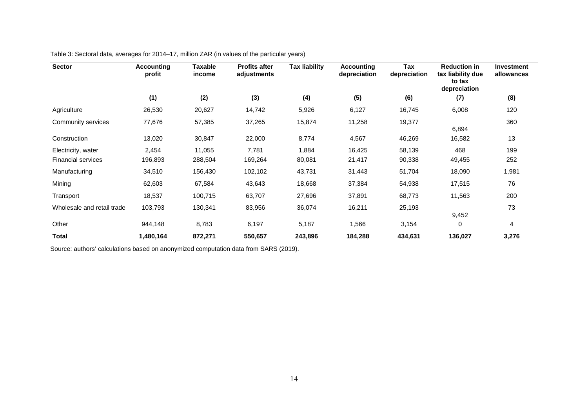| <b>Sector</b>                                   | Accounting<br>profit | Taxable<br>income | <b>Profits after</b><br>adjustments | <b>Tax liability</b> | <b>Accounting</b><br>depreciation | Tax<br>depreciation | <b>Reduction in</b><br>tax liability due<br>to tax<br>depreciation | <b>Investment</b><br>allowances |
|-------------------------------------------------|----------------------|-------------------|-------------------------------------|----------------------|-----------------------------------|---------------------|--------------------------------------------------------------------|---------------------------------|
|                                                 | (1)                  | (2)               | (3)                                 | (4)                  | (5)                               | (6)                 | (7)                                                                | (8)                             |
| Agriculture                                     | 26,530               | 20,627            | 14,742                              | 5,926                | 6,127                             | 16,745              | 6,008                                                              | 120                             |
| Community services                              | 77,676               | 57,385            | 37,265                              | 15,874               | 11,258                            | 19,377              | 6,894                                                              | 360                             |
| Construction                                    | 13,020               | 30,847            | 22,000                              | 8,774                | 4,567                             | 46,269              | 16,582                                                             | 13                              |
| Electricity, water<br><b>Financial services</b> | 2,454<br>196,893     | 11,055<br>288,504 | 7,781<br>169,264                    | 1,884<br>80,081      | 16,425<br>21,417                  | 58,139<br>90,338    | 468<br>49,455                                                      | 199<br>252                      |
| Manufacturing                                   | 34,510               | 156,430           | 102,102                             | 43,731               | 31,443                            | 51,704              | 18,090                                                             | 1,981                           |
| Mining                                          | 62,603               | 67,584            | 43,643                              | 18,668               | 37,384                            | 54,938              | 17,515                                                             | 76                              |
| Transport                                       | 18,537               | 100,715           | 63,707                              | 27,696               | 37,891                            | 68,773              | 11,563                                                             | 200                             |
| Wholesale and retail trade                      | 103,793              | 130,341           | 83,956                              | 36,074               | 16,211                            | 25,193              | 9,452                                                              | 73                              |
| Other                                           | 944,148              | 8,783             | 6,197                               | 5,187                | 1,566                             | 3,154               | 0                                                                  | 4                               |
| Total                                           | 1,480,164            | 872,271           | 550,657                             | 243,896              | 184,288                           | 434,631             | 136,027                                                            | 3,276                           |

Table 3: Sectoral data, averages for 2014–17, million ZAR (in values of the particular years)

Source: authors' calculations based on anonymized computation data from SARS (2019).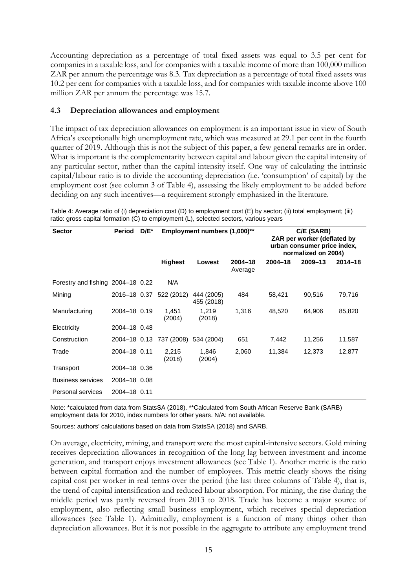Accounting depreciation as a percentage of total fixed assets was equal to 3.5 per cent for companies in a taxable loss, and for companies with a taxable income of more than 100,000 million ZAR per annum the percentage was 8.3. Tax depreciation as a percentage of total fixed assets was 10.2 per cent for companies with a taxable loss, and for companies with taxable income above 100 million ZAR per annum the percentage was 15.7.

#### **4.3 Depreciation allowances and employment**

The impact of tax depreciation allowances on employment is an important issue in view of South Africa's exceptionally high unemployment rate, which was measured at 29.1 per cent in the fourth quarter of 2019. Although this is not the subject of this paper, a few general remarks are in order. What is important is the complementarity between capital and labour given the capital intensity of any particular sector, rather than the capital intensity itself. One way of calculating the intrinsic capital/labour ratio is to divide the accounting depreciation (i.e. 'consumption' of capital) by the employment cost (see column 3 of Table 4), assessing the likely employment to be added before deciding on any such incentives—a requirement strongly emphasized in the literature.

Table 4: Average ratio of (i) depreciation cost (D) to employment cost (E) by sector; (ii) total employment; (iii) ratio: gross capital formation (C) to employment (L), selected sectors, various years

| <b>Sector</b>                     | Period       | $D/E^*$ |                         | <b>Employment numbers (1,000)**</b> |                        | C/E (SARB)<br>ZAR per worker (deflated by<br>urban consumer price index,<br>normalized on 2004) |             |             |
|-----------------------------------|--------------|---------|-------------------------|-------------------------------------|------------------------|-------------------------------------------------------------------------------------------------|-------------|-------------|
|                                   |              |         | <b>Highest</b>          | Lowest                              | $2004 - 18$<br>Average | $2004 - 18$                                                                                     | $2009 - 13$ | $2014 - 18$ |
| Forestry and fishing 2004–18 0.22 |              |         | N/A                     |                                     |                        |                                                                                                 |             |             |
| Mining                            |              |         | 2016-18 0.37 522 (2012) | 444 (2005)<br>455 (2018)            | 484                    | 58,421                                                                                          | 90,516      | 79,716      |
| Manufacturing                     | 2004-18 0.19 |         | 1,451<br>(2004)         | 1,219<br>(2018)                     | 1,316                  | 48,520                                                                                          | 64,906      | 85,820      |
| Electricity                       | 2004-18 0.48 |         |                         |                                     |                        |                                                                                                 |             |             |
| Construction                      |              |         | 2004-18 0.13 737 (2008) | 534 (2004)                          | 651                    | 7,442                                                                                           | 11,256      | 11,587      |
| Trade                             | 2004-18 0.11 |         | 2,215<br>(2018)         | 1,846<br>(2004)                     | 2,060                  | 11,384                                                                                          | 12,373      | 12,877      |
| Transport                         | 2004-18 0.36 |         |                         |                                     |                        |                                                                                                 |             |             |
| <b>Business services</b>          | 2004-18 0.08 |         |                         |                                     |                        |                                                                                                 |             |             |
| Personal services                 | 2004-18 0.11 |         |                         |                                     |                        |                                                                                                 |             |             |

Note: \*calculated from data from StatsSA (2018). \*\*Calculated from South African Reserve Bank (SARB) employment data for 2010, index numbers for other years. N/A: not available.

Sources: authors' calculations based on data from StatsSA (2018) and SARB.

On average, electricity, mining, and transport were the most capital-intensive sectors. Gold mining receives depreciation allowances in recognition of the long lag between investment and income generation, and transport enjoys investment allowances (see Table 1). Another metric is the ratio between capital formation and the number of employees. This metric clearly shows the rising capital cost per worker in real terms over the period (the last three columns of Table 4), that is, the trend of capital intensification and reduced labour absorption. For mining, the rise during the middle period was partly reversed from 2013 to 2018. Trade has become a major source of employment, also reflecting small business employment, which receives special depreciation allowances (see Table 1). Admittedly, employment is a function of many things other than depreciation allowances. But it is not possible in the aggregate to attribute any employment trend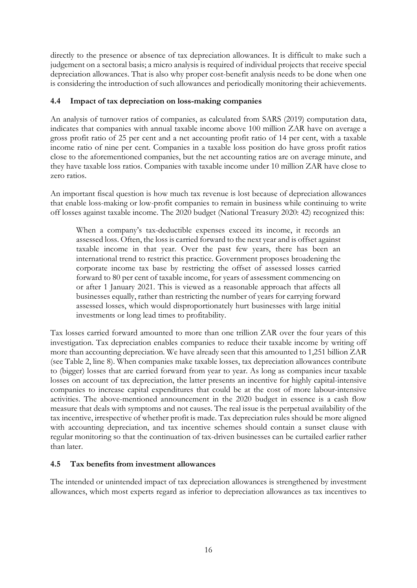directly to the presence or absence of tax depreciation allowances. It is difficult to make such a judgement on a sectoral basis; a micro analysis is required of individual projects that receive special depreciation allowances. That is also why proper cost-benefit analysis needs to be done when one is considering the introduction of such allowances and periodically monitoring their achievements.

### **4.4 Impact of tax depreciation on loss-making companies**

An analysis of turnover ratios of companies, as calculated from SARS (2019) computation data, indicates that companies with annual taxable income above 100 million ZAR have on average a gross profit ratio of 25 per cent and a net accounting profit ratio of 14 per cent, with a taxable income ratio of nine per cent. Companies in a taxable loss position do have gross profit ratios close to the aforementioned companies, but the net accounting ratios are on average minute, and they have taxable loss ratios. Companies with taxable income under 10 million ZAR have close to zero ratios.

An important fiscal question is how much tax revenue is lost because of depreciation allowances that enable loss-making or low-profit companies to remain in business while continuing to write off losses against taxable income. The 2020 budget (National Treasury 2020: 42) recognized this:

When a company's tax-deductible expenses exceed its income, it records an assessed loss. Often, the loss is carried forward to the next year and is offset against taxable income in that year. Over the past few years, there has been an international trend to restrict this practice. Government proposes broadening the corporate income tax base by restricting the offset of assessed losses carried forward to 80 per cent of taxable income, for years of assessment commencing on or after 1 January 2021. This is viewed as a reasonable approach that affects all businesses equally, rather than restricting the number of years for carrying forward assessed losses, which would disproportionately hurt businesses with large initial investments or long lead times to profitability.

Tax losses carried forward amounted to more than one trillion ZAR over the four years of this investigation. Tax depreciation enables companies to reduce their taxable income by writing off more than accounting depreciation. We have already seen that this amounted to 1,251 billion ZAR (see Table 2, line 8). When companies make taxable losses, tax depreciation allowances contribute to (bigger) losses that are carried forward from year to year. As long as companies incur taxable losses on account of tax depreciation, the latter presents an incentive for highly capital-intensive companies to increase capital expenditures that could be at the cost of more labour-intensive activities. The above-mentioned announcement in the 2020 budget in essence is a cash flow measure that deals with symptoms and not causes. The real issue is the perpetual availability of the tax incentive, irrespective of whether profit is made. Tax depreciation rules should be more aligned with accounting depreciation, and tax incentive schemes should contain a sunset clause with regular monitoring so that the continuation of tax-driven businesses can be curtailed earlier rather than later.

## **4.5 Tax benefits from investment allowances**

The intended or unintended impact of tax depreciation allowances is strengthened by investment allowances, which most experts regard as inferior to depreciation allowances as tax incentives to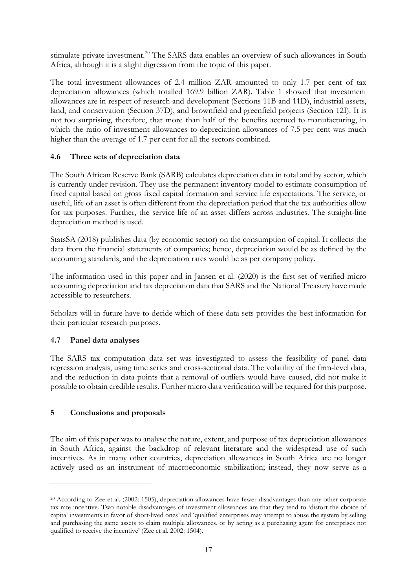stimulate private investment.<sup>[20](#page-18-0)</sup> The SARS data enables an overview of such allowances in South Africa, although it is a slight digression from the topic of this paper.

The total investment allowances of 2.4 million ZAR amounted to only 1.7 per cent of tax depreciation allowances (which totalled 169.9 billion ZAR). Table 1 showed that investment allowances are in respect of research and development (Sections 11B and 11D), industrial assets, land, and conservation (Section 37D), and brownfield and greenfield projects (Section 12I). It is not too surprising, therefore, that more than half of the benefits accrued to manufacturing, in which the ratio of investment allowances to depreciation allowances of 7.5 per cent was much higher than the average of 1.7 per cent for all the sectors combined.

#### **4.6 Three sets of depreciation data**

The South African Reserve Bank (SARB) calculates depreciation data in total and by sector, which is currently under revision. They use the permanent inventory model to estimate consumption of fixed capital based on gross fixed capital formation and service life expectations. The service, or useful, life of an asset is often different from the depreciation period that the tax authorities allow for tax purposes. Further, the service life of an asset differs across industries. The straight-line depreciation method is used.

StatsSA (2018) publishes data (by economic sector) on the consumption of capital. It collects the data from the financial statements of companies; hence, depreciation would be as defined by the accounting standards, and the depreciation rates would be as per company policy.

The information used in this paper and in Jansen et al. (2020) is the first set of verified micro accounting depreciation and tax depreciation data that SARS and the National Treasury have made accessible to researchers.

Scholars will in future have to decide which of these data sets provides the best information for their particular research purposes.

## **4.7 Panel data analyses**

The SARS tax computation data set was investigated to assess the feasibility of panel data regression analysis, using time series and cross-sectional data. The volatility of the firm-level data, and the reduction in data points that a removal of outliers would have caused, did not make it possible to obtain credible results. Further micro data verification will be required for this purpose.

## **5 Conclusions and proposals**

The aim of this paper was to analyse the nature, extent, and purpose of tax depreciation allowances in South Africa, against the backdrop of relevant literature and the widespread use of such incentives. As in many other countries, depreciation allowances in South Africa are no longer actively used as an instrument of macroeconomic stabilization; instead, they now serve as a

<span id="page-18-0"></span><sup>20</sup> According to Zee et al. (2002: 1505), depreciation allowances have fewer disadvantages than any other corporate tax rate incentive. Two notable disadvantages of investment allowances are that they tend to 'distort the choice of capital investments in favor of short-lived ones' and 'qualified enterprises may attempt to abuse the system by selling and purchasing the same assets to claim multiple allowances, or by acting as a purchasing agent for enterprises not qualified to receive the incentive' (Zee et al. 2002: 1504).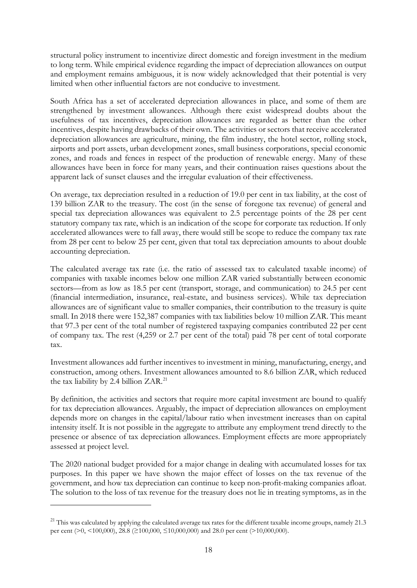structural policy instrument to incentivize direct domestic and foreign investment in the medium to long term. While empirical evidence regarding the impact of depreciation allowances on output and employment remains ambiguous, it is now widely acknowledged that their potential is very limited when other influential factors are not conducive to investment.

South Africa has a set of accelerated depreciation allowances in place, and some of them are strengthened by investment allowances. Although there exist widespread doubts about the usefulness of tax incentives, depreciation allowances are regarded as better than the other incentives, despite having drawbacks of their own. The activities or sectors that receive accelerated depreciation allowances are agriculture, mining, the film industry, the hotel sector, rolling stock, airports and port assets, urban development zones, small business corporations, special economic zones, and roads and fences in respect of the production of renewable energy. Many of these allowances have been in force for many years, and their continuation raises questions about the apparent lack of sunset clauses and the irregular evaluation of their effectiveness.

On average, tax depreciation resulted in a reduction of 19.0 per cent in tax liability, at the cost of 139 billion ZAR to the treasury. The cost (in the sense of foregone tax revenue) of general and special tax depreciation allowances was equivalent to 2.5 percentage points of the 28 per cent statutory company tax rate, which is an indication of the scope for corporate tax reduction. If only accelerated allowances were to fall away, there would still be scope to reduce the company tax rate from 28 per cent to below 25 per cent, given that total tax depreciation amounts to about double accounting depreciation.

The calculated average tax rate (i.e. the ratio of assessed tax to calculated taxable income) of companies with taxable incomes below one million ZAR varied substantially between economic sectors—from as low as 18.5 per cent (transport, storage, and communication) to 24.5 per cent (financial intermediation, insurance, real-estate, and business services). While tax depreciation allowances are of significant value to smaller companies, their contribution to the treasury is quite small. In 2018 there were 152,387 companies with tax liabilities below 10 million ZAR. This meant that 97.3 per cent of the total number of registered taxpaying companies contributed 22 per cent of company tax. The rest (4,259 or 2.7 per cent of the total) paid 78 per cent of total corporate tax.

Investment allowances add further incentives to investment in mining, manufacturing, energy, and construction, among others. Investment allowances amounted to 8.6 billion ZAR, which reduced the tax liability by 2.4 billion ZAR.<sup>[21](#page-19-0)</sup>

By definition, the activities and sectors that require more capital investment are bound to qualify for tax depreciation allowances. Arguably, the impact of depreciation allowances on employment depends more on changes in the capital/labour ratio when investment increases than on capital intensity itself. It is not possible in the aggregate to attribute any employment trend directly to the presence or absence of tax depreciation allowances. Employment effects are more appropriately assessed at project level.

The 2020 national budget provided for a major change in dealing with accumulated losses for tax purposes. In this paper we have shown the major effect of losses on the tax revenue of the government, and how tax depreciation can continue to keep non-profit-making companies afloat. The solution to the loss of tax revenue for the treasury does not lie in treating symptoms, as in the

<span id="page-19-0"></span> $21$  This was calculated by applying the calculated average tax rates for the different taxable income groups, namely 21.3 per cent (>0, <100,000), 28.8 (≥100,000, ≤10,000,000) and 28.0 per cent (>10,000,000).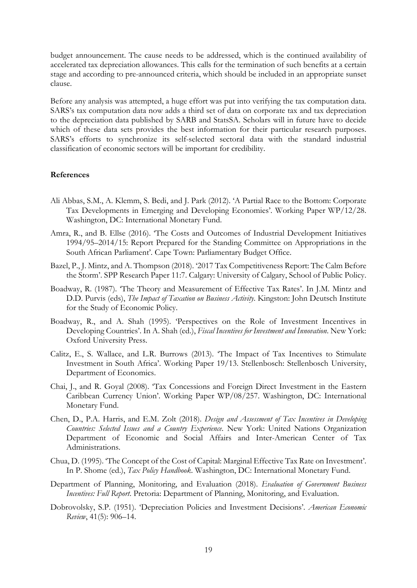budget announcement. The cause needs to be addressed, which is the continued availability of accelerated tax depreciation allowances. This calls for the termination of such benefits at a certain stage and according to pre-announced criteria, which should be included in an appropriate sunset clause.

Before any analysis was attempted, a huge effort was put into verifying the tax computation data. SARS's tax computation data now adds a third set of data on corporate tax and tax depreciation to the depreciation data published by SARB and StatsSA. Scholars will in future have to decide which of these data sets provides the best information for their particular research purposes. SARS's efforts to synchronize its self-selected sectoral data with the standard industrial classification of economic sectors will be important for credibility.

#### **References**

- Ali Abbas, S.M., A. Klemm, S. Bedi, and J. Park (2012). 'A Partial Race to the Bottom: Corporate Tax Developments in Emerging and Developing Economies'. Working Paper WP/12/28. Washington, DC: International Monetary Fund.
- Amra, R., and B. Ellse (2016). 'The Costs and Outcomes of Industrial Development Initiatives 1994/95–2014/15: Report Prepared for the Standing Committee on Appropriations in the South African Parliament'. Cape Town: Parliamentary Budget Office.
- Bazel, P., J. Mintz, and A. Thompson (2018). '2017 Tax Competitiveness Report: The Calm Before the Storm'. SPP Research Paper 11:7. Calgary: University of Calgary, School of Public Policy.
- Boadway, R. (1987). 'The Theory and Measurement of Effective Tax Rates'. In J.M. Mintz and D.D. Purvis (eds), *The Impact of Taxation on Business Activity*. Kingston: John Deutsch Institute for the Study of Economic Policy.
- Boadway, R., and A. Shah (1995). 'Perspectives on the Role of Investment Incentives in Developing Countries'. In A. Shah (ed.), *Fiscal Incentives for Investment and Innovation*. New York: Oxford University Press.
- Calitz, E., S. Wallace, and L.R. Burrows (2013). 'The Impact of Tax Incentives to Stimulate Investment in South Africa'. Working Paper 19/13. Stellenbosch: Stellenbosch University, Department of Economics.
- Chai, J., and R. Goyal (2008). 'Tax Concessions and Foreign Direct Investment in the Eastern Caribbean Currency Union'. Working Paper WP/08/257. Washington, DC: International Monetary Fund.
- Chen, D., P.A. Harris, and E.M. Zolt (2018). *Design and Assessment of Tax Incentives in Developing Countries: Selected Issues and a Country Experience*. New York: United Nations Organization Department of Economic and Social Affairs and Inter-American Center of Tax Administrations.
- Chua, D. (1995). 'The Concept of the Cost of Capital: Marginal Effective Tax Rate on Investment'. In P. Shome (ed.), *Tax Policy Handbook*. Washington, DC: International Monetary Fund.
- Department of Planning, Monitoring, and Evaluation (2018). *Evaluation of Government Business Incentives: Full Report*. Pretoria: Department of Planning, Monitoring, and Evaluation.
- Dobrovolsky, S.P. (1951). 'Depreciation Policies and Investment Decisions'. *American Economic Review*, 41(5): 906–14.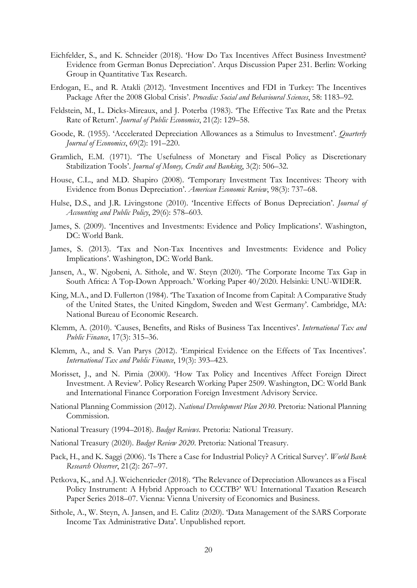- Eichfelder, S., and K. Schneider (2018). 'How Do Tax Incentives Affect Business Investment? Evidence from German Bonus Depreciation'. Arqus Discussion Paper 231. Berlin: Working Group in Quantitative Tax Research.
- Erdogan, E., and R. Atakli (2012). 'Investment Incentives and FDI in Turkey: The Incentives Package After the 2008 Global Crisis'. *Procedia: Social and Behavioural Sciences*, 58: 1183–92.
- Feldstein, M., L. Dicks-Mireaux, and J. Poterba (1983). 'The Effective Tax Rate and the Pretax Rate of Return'. *Journal of Public Economics*, 21(2): 129–58.
- Goode, R. (1955). 'Accelerated Depreciation Allowances as a Stimulus to Investment'. *Quarterly Journal of Economics*, 69(2): 191–220.
- Gramlich, E.M. (1971). 'The Usefulness of Monetary and Fiscal Policy as Discretionary Stabilization Tools'. *Journal of Money, Credit and Banking*, 3(2): 506–32.
- House, C.L., and M.D. Shapiro (2008). 'Temporary Investment Tax Incentives: Theory with Evidence from Bonus Depreciation'. *American Economic Review*, 98(3): 737–68.
- Hulse, D.S., and J.R. Livingstone (2010). 'Incentive Effects of Bonus Depreciation'. *Journal of Accounting and Public Policy*, 29(6): 578–603.
- James, S. (2009). 'Incentives and Investments: Evidence and Policy Implications'. Washington, DC: World Bank.
- James, S. (2013). 'Tax and Non-Tax Incentives and Investments: Evidence and Policy Implications'. Washington, DC: World Bank.
- Jansen, A., W. Ngobeni, A. Sithole, and W. Steyn (2020). 'The Corporate Income Tax Gap in South Africa: A Top-Down Approach.' Working Paper 40/2020. Helsinki: UNU-WIDER.
- King, M.A., and D. Fullerton (1984). 'The Taxation of Income from Capital: A Comparative Study of the United States, the United Kingdom, Sweden and West Germany'. Cambridge, MA: National Bureau of Economic Research.
- Klemm, A. (2010). 'Causes, Benefits, and Risks of Business Tax Incentives'. *International Tax and Public Finance*, 17(3): 315–36.
- Klemm, A., and S. Van Parys (2012). 'Empirical Evidence on the Effects of Tax Incentives'. *International Tax and Public Finance*, 19(3): 393–423.
- Morisset, J., and N. Pirnia (2000). 'How Tax Policy and Incentives Affect Foreign Direct Investment. A Review'. Policy Research Working Paper 2509. Washington, DC: World Bank and International Finance Corporation Foreign Investment Advisory Service.
- National Planning Commission (2012). *National Development Plan 2030*. Pretoria: National Planning Commission.
- National Treasury (1994–2018). *Budget Reviews*. Pretoria: National Treasury.
- National Treasury (2020). *Budget Review 2020*. Pretoria: National Treasury.
- Pack, H., and K. Saggi (2006). 'Is There a Case for Industrial Policy? A Critical Survey'. *World Bank Research Observer*, 21(2): 267–97.
- Petkova, K., and A.J. Weichenrieder (2018). 'The Relevance of Depreciation Allowances as a Fiscal Policy Instrument: A Hybrid Approach to CCCTB?' WU International Taxation Research Paper Series 2018–07. Vienna: Vienna University of Economics and Business.
- Sithole, A., W. Steyn, A. Jansen, and E. Calitz (2020). 'Data Management of the SARS Corporate Income Tax Administrative Data'. Unpublished report.